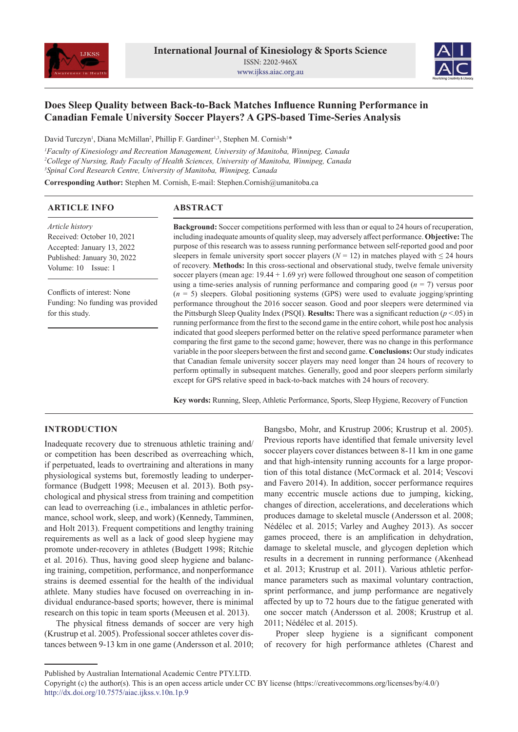



# **Does Sleep Quality between Back-to-Back Matches Influence Running Performance in Canadian Female University Soccer Players? A GPS-based Time-Series Analysis**

David Turczyn<sup>1</sup>, Diana McMillan<sup>2</sup>, Phillip F. Gardiner<sup>1,3</sup>, Stephen M. Cornish<sup>1\*</sup>

*1 Faculty of Kinesiology and Recreation Management, University of Manitoba, Winnipeg, Canada 2 College of Nursing, Rady Faculty of Health Sciences, University of Manitoba, Winnipeg, Canada 3 Spinal Cord Research Centre, University of Manitoba, Winnipeg, Canada*

**Corresponding Author:** Stephen M. Cornish, E-mail: Stephen.Cornish@umanitoba.ca

## **ARTICLE INFO**

## **ABSTRACT**

*Article history* Received: October 10, 2021 Accepted: January 13, 2022 Published: January 30, 2022 Volume: 10 Issue: 1

Conflicts of interest: None Funding: No funding was provided for this study.

**Background:** Soccer competitions performed with less than or equal to 24 hours of recuperation, including inadequate amounts of quality sleep, may adversely affect performance. **Objective:** The purpose of this research was to assess running performance between self-reported good and poor sleepers in female university sport soccer players ( $N = 12$ ) in matches played with  $\leq 24$  hours of recovery. **Methods:** In this cross-sectional and observational study, twelve female university soccer players (mean age: 19.44 + 1.69 yr) were followed throughout one season of competition using a time-series analysis of running performance and comparing good (*n* = 7) versus poor (*n* = 5) sleepers. Global positioning systems (GPS) were used to evaluate jogging/sprinting performance throughout the 2016 soccer season. Good and poor sleepers were determined via the Pittsburgh Sleep Quality Index (PSQI). **Results:** There was a significant reduction (*p* <.05) in running performance from the first to the second game in the entire cohort, while post hoc analysis indicated that good sleepers performed better on the relative speed performance parameter when comparing the first game to the second game; however, there was no change in this performance variable in the poor sleepers between the first and second game. **Conclusions:** Our study indicates that Canadian female university soccer players may need longer than 24 hours of recovery to perform optimally in subsequent matches. Generally, good and poor sleepers perform similarly except for GPS relative speed in back-to-back matches with 24 hours of recovery.

**Key words:** Running, Sleep, Athletic Performance, Sports, Sleep Hygiene, Recovery of Function

## **INTRODUCTION**

Inadequate recovery due to strenuous athletic training and/ or competition has been described as overreaching which, if perpetuated, leads to overtraining and alterations in many physiological systems but, foremostly leading to underperformance (Budgett 1998; Meeusen et al. 2013). Both psychological and physical stress from training and competition can lead to overreaching (i.e., imbalances in athletic performance, school work, sleep, and work) (Kennedy, Tamminen, and Holt 2013). Frequent competitions and lengthy training requirements as well as a lack of good sleep hygiene may promote under-recovery in athletes (Budgett 1998; Ritchie et al. 2016). Thus, having good sleep hygiene and balancing training, competition, performance, and nonperformance strains is deemed essential for the health of the individual athlete. Many studies have focused on overreaching in individual endurance-based sports; however, there is minimal research on this topic in team sports (Meeusen et al. 2013).

The physical fitness demands of soccer are very high (Krustrup et al. 2005). Professional soccer athletes cover distances between 9-13 km in one game (Andersson et al. 2010; Bangsbo, Mohr, and Krustrup 2006; Krustrup et al. 2005). Previous reports have identified that female university level soccer players cover distances between 8-11 km in one game and that high-intensity running accounts for a large proportion of this total distance (McCormack et al. 2014; Vescovi and Favero 2014). In addition, soccer performance requires many eccentric muscle actions due to jumping, kicking, changes of direction, accelerations, and decelerations which produces damage to skeletal muscle (Andersson et al. 2008; Nédélec et al. 2015; Varley and Aughey 2013). As soccer games proceed, there is an amplification in dehydration, damage to skeletal muscle, and glycogen depletion which results in a decrement in running performance (Akenhead et al. 2013; Krustrup et al. 2011). Various athletic performance parameters such as maximal voluntary contraction, sprint performance, and jump performance are negatively affected by up to 72 hours due to the fatigue generated with one soccer match (Andersson et al. 2008; Krustrup et al. 2011; Nédélec et al. 2015).

Proper sleep hygiene is a significant component of recovery for high performance athletes (Charest and

Published by Australian International Academic Centre PTY.LTD.

Copyright (c) the author(s). This is an open access article under CC BY license (https://creativecommons.org/licenses/by/4.0/) http://dx.doi.org/10.7575/aiac.ijkss.v.10n.1p.9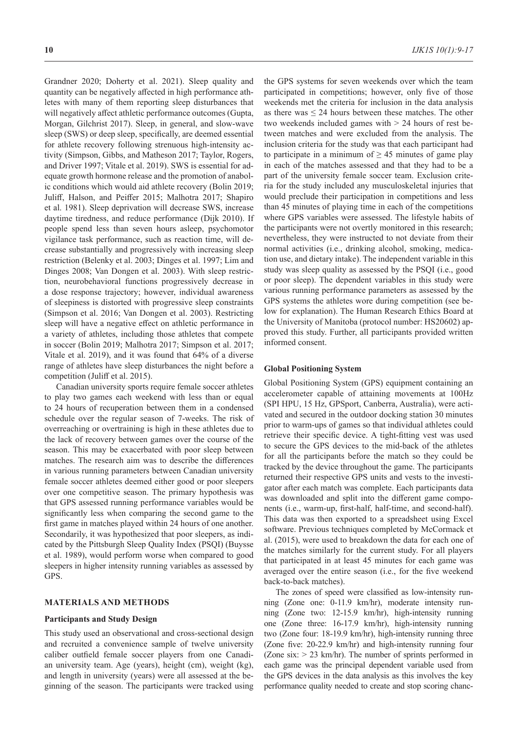Grandner 2020; Doherty et al. 2021). Sleep quality and quantity can be negatively affected in high performance athletes with many of them reporting sleep disturbances that will negatively affect athletic performance outcomes (Gupta, Morgan, Gilchrist 2017). Sleep, in general, and slow-wave sleep (SWS) or deep sleep, specifically, are deemed essential for athlete recovery following strenuous high-intensity activity (Simpson, Gibbs, and Matheson 2017; Taylor, Rogers, and Driver 1997; Vitale et al. 2019). SWS is essential for adequate growth hormone release and the promotion of anabolic conditions which would aid athlete recovery (Bolin 2019; Juliff, Halson, and Peiffer 2015; Malhotra 2017; Shapiro et al. 1981). Sleep deprivation will decrease SWS, increase daytime tiredness, and reduce performance (Dijk 2010). If people spend less than seven hours asleep, psychomotor vigilance task performance, such as reaction time, will decrease substantially and progressively with increasing sleep restriction (Belenky et al. 2003; Dinges et al. 1997; Lim and Dinges 2008; Van Dongen et al. 2003). With sleep restriction, neurobehavioral functions progressively decrease in a dose response trajectory; however, individual awareness of sleepiness is distorted with progressive sleep constraints (Simpson et al. 2016; Van Dongen et al. 2003). Restricting sleep will have a negative effect on athletic performance in a variety of athletes, including those athletes that compete in soccer (Bolin 2019; Malhotra 2017; Simpson et al. 2017; Vitale et al. 2019), and it was found that 64% of a diverse range of athletes have sleep disturbances the night before a competition (Juliff et al. 2015).

Canadian university sports require female soccer athletes to play two games each weekend with less than or equal to 24 hours of recuperation between them in a condensed schedule over the regular season of 7-weeks. The risk of overreaching or overtraining is high in these athletes due to the lack of recovery between games over the course of the season. This may be exacerbated with poor sleep between matches. The research aim was to describe the differences in various running parameters between Canadian university female soccer athletes deemed either good or poor sleepers over one competitive season. The primary hypothesis was that GPS assessed running performance variables would be significantly less when comparing the second game to the first game in matches played within 24 hours of one another. Secondarily, it was hypothesized that poor sleepers, as indicated by the Pittsburgh Sleep Quality Index (PSQI) (Buysse et al. 1989), would perform worse when compared to good sleepers in higher intensity running variables as assessed by GPS.

#### **MATERIALS AND METHODS**

#### **Participants and Study Design**

This study used an observational and cross-sectional design and recruited a convenience sample of twelve university caliber outfield female soccer players from one Canadian university team. Age (years), height (cm), weight (kg), and length in university (years) were all assessed at the beginning of the season. The participants were tracked using the GPS systems for seven weekends over which the team participated in competitions; however, only five of those weekends met the criteria for inclusion in the data analysis as there was ≤ 24 hours between these matches. The other two weekends included games with > 24 hours of rest between matches and were excluded from the analysis. The inclusion criteria for the study was that each participant had to participate in a minimum of  $\geq$  45 minutes of game play in each of the matches assessed and that they had to be a part of the university female soccer team. Exclusion criteria for the study included any musculoskeletal injuries that would preclude their participation in competitions and less than 45 minutes of playing time in each of the competitions where GPS variables were assessed. The lifestyle habits of the participants were not overtly monitored in this research; nevertheless, they were instructed to not deviate from their normal activities (i.e., drinking alcohol, smoking, medication use, and dietary intake). The independent variable in this study was sleep quality as assessed by the PSQI (i.e., good or poor sleep). The dependent variables in this study were various running performance parameters as assessed by the GPS systems the athletes wore during competition (see below for explanation). The Human Research Ethics Board at the University of Manitoba (protocol number: HS20602) approved this study. Further, all participants provided written informed consent.

#### **Global Positioning System**

Global Positioning System (GPS) equipment containing an accelerometer capable of attaining movements at 100Hz (SPI HPU, 15 Hz, GPSport, Canberra, Australia), were activated and secured in the outdoor docking station 30 minutes prior to warm-ups of games so that individual athletes could retrieve their specific device. A tight-fitting vest was used to secure the GPS devices to the mid-back of the athletes for all the participants before the match so they could be tracked by the device throughout the game. The participants returned their respective GPS units and vests to the investigator after each match was complete. Each participants data was downloaded and split into the different game components (i.e., warm-up, first-half, half-time, and second-half). This data was then exported to a spreadsheet using Excel software. Previous techniques completed by McCormack et al. (2015), were used to breakdown the data for each one of the matches similarly for the current study. For all players that participated in at least 45 minutes for each game was averaged over the entire season (i.e., for the five weekend back-to-back matches).

The zones of speed were classified as low-intensity running (Zone one: 0-11.9 km/hr), moderate intensity running (Zone two: 12-15.9 km/hr), high-intensity running one (Zone three: 16-17.9 km/hr), high-intensity running two (Zone four: 18-19.9 km/hr), high-intensity running three (Zone five: 20-22.9 km/hr) and high-intensity running four (Zone six:  $> 23$  km/hr). The number of sprints performed in each game was the principal dependent variable used from the GPS devices in the data analysis as this involves the key performance quality needed to create and stop scoring chanc-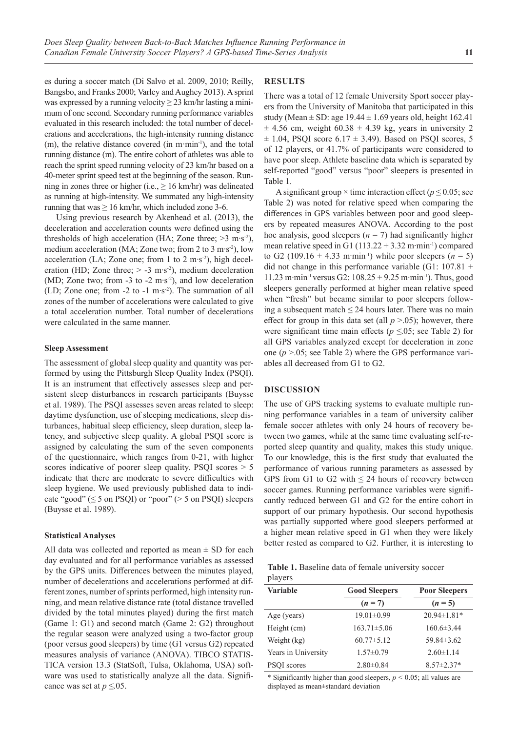es during a soccer match (Di Salvo et al. 2009, 2010; Reilly, Bangsbo, and Franks 2000; Varley and Aughey 2013). A sprint was expressed by a running velocity  $> 23$  km/hr lasting a minimum of one second. Secondary running performance variables evaluated in this research included: the total number of decelerations and accelerations, the high-intensity running distance (m), the relative distance covered (in m·min-1), and the total running distance (m). The entire cohort of athletes was able to reach the sprint speed running velocity of 23 km/hr based on a 40-meter sprint speed test at the beginning of the season. Running in zones three or higher (i.e.,  $\geq 16$  km/hr) was delineated as running at high-intensity. We summated any high-intensity running that was  $\geq 16$  km/hr, which included zone 3-6.

Using previous research by Akenhead et al. (2013), the deceleration and acceleration counts were defined using the thresholds of high acceleration (HA; Zone three; >3 m⋅s<sup>-2</sup>), medium acceleration (MA; Zone two; from 2 to 3 m∙s-2), low acceleration (LA; Zone one; from 1 to 2 m⋅s<sup>-2</sup>), high deceleration (HD; Zone three;  $> -3$  m⋅s<sup>-2</sup>), medium deceleration (MD; Zone two; from -3 to -2 m∙s-2), and low deceleration (LD; Zone one; from -2 to -1 m∙s-2). The summation of all zones of the number of accelerations were calculated to give a total acceleration number. Total number of decelerations were calculated in the same manner.

#### **Sleep Assessment**

The assessment of global sleep quality and quantity was performed by using the Pittsburgh Sleep Quality Index (PSQI). It is an instrument that effectively assesses sleep and persistent sleep disturbances in research participants (Buysse et al. 1989). The PSQI assesses seven areas related to sleep: daytime dysfunction, use of sleeping medications, sleep disturbances, habitual sleep efficiency, sleep duration, sleep latency, and subjective sleep quality. A global PSQI score is assigned by calculating the sum of the seven components of the questionnaire, which ranges from 0-21, with higher scores indicative of poorer sleep quality. PSQI scores  $> 5$ indicate that there are moderate to severe difficulties with sleep hygiene. We used previously published data to indicate "good" ( $\leq$  5 on PSQI) or "poor" ( $>$  5 on PSQI) sleepers (Buysse et al. 1989).

#### **Statistical Analyses**

All data was collected and reported as mean  $\pm$  SD for each day evaluated and for all performance variables as assessed by the GPS units. Differences between the minutes played, number of decelerations and accelerations performed at different zones, number of sprints performed, high intensity running, and mean relative distance rate (total distance travelled divided by the total minutes played) during the first match (Game 1: G1) and second match (Game 2: G2) throughout the regular season were analyzed using a two-factor group (poor versus good sleepers) by time (G1 versus G2) repeated measures analysis of variance (ANOVA). TIBCO STATIS-TICA version 13.3 (StatSoft, Tulsa, Oklahoma, USA) software was used to statistically analyze all the data. Significance was set at  $p \leq 0.05$ .

### **RESULTS**

There was a total of 12 female University Sport soccer players from the University of Manitoba that participated in this study (Mean  $\pm$  SD: age 19.44  $\pm$  1.69 years old, height 162.41  $\pm$  4.56 cm, weight 60.38  $\pm$  4.39 kg, years in university 2  $\pm$  1.04, PSQI score 6.17  $\pm$  3.49). Based on PSQI scores, 5 of 12 players, or 41.7% of participants were considered to have poor sleep. Athlete baseline data which is separated by self-reported "good" versus "poor" sleepers is presented in Table 1.

A significant group  $\times$  time interaction effect ( $p \le 0.05$ ; see Table 2) was noted for relative speed when comparing the differences in GPS variables between poor and good sleepers by repeated measures ANOVA. According to the post hoc analysis, good sleepers  $(n = 7)$  had significantly higher mean relative speed in G1 (113.22 + 3.32 m∙min-1) compared to G2 (109.16 + 4.33 m⋅min<sup>-1</sup>) while poor sleepers ( $n = 5$ ) did not change in this performance variable (G1:  $107.81 +$ 11.23 m∙min-1 versus G2: 108.25 + 9.25 m∙min-1). Thus, good sleepers generally performed at higher mean relative speed when "fresh" but became similar to poor sleepers following a subsequent match  $\leq$  24 hours later. There was no main effect for group in this data set (all  $p > 0.05$ ); however, there were significant time main effects (*p ≤*.05; see Table 2) for all GPS variables analyzed except for deceleration in zone one (*p* >.05; see Table 2) where the GPS performance variables all decreased from G1 to G2.

## **DISCUSSION**

The use of GPS tracking systems to evaluate multiple running performance variables in a team of university caliber female soccer athletes with only 24 hours of recovery between two games, while at the same time evaluating self-reported sleep quantity and quality, makes this study unique. To our knowledge, this is the first study that evaluated the performance of various running parameters as assessed by GPS from G1 to G2 with  $\leq$  24 hours of recovery between soccer games. Running performance variables were significantly reduced between G1 and G2 for the entire cohort in support of our primary hypothesis. Our second hypothesis was partially supported where good sleepers performed at a higher mean relative speed in G1 when they were likely better rested as compared to G2. Further, it is interesting to

|         | Table 1. Baseline data of female university soccer |  |  |  |
|---------|----------------------------------------------------|--|--|--|
| players |                                                    |  |  |  |

| <b>Variable</b>     | <b>Good Sleepers</b> | <b>Poor Sleepers</b><br>$(n=5)$ |  |  |
|---------------------|----------------------|---------------------------------|--|--|
|                     | $(n=7)$              |                                 |  |  |
| Age (years)         | $19.01 \pm 0.99$     | $20.94 \pm 1.81*$               |  |  |
| Height (cm)         | $163.71 \pm 5.06$    | $160.6 \pm 3.44$                |  |  |
| Weight (kg)         | $60.77 \pm 5.12$     | $59.84 \pm 3.62$                |  |  |
| Years in University | $1.57 \pm 0.79$      | $2.60 \pm 1.14$                 |  |  |
| PSOI scores         | $2.80 \pm 0.84$      | $8.57 \pm 2.37*$                |  |  |

\* Significantly higher than good sleepers, *p <* 0.05; all values are displayed as mean±standard deviation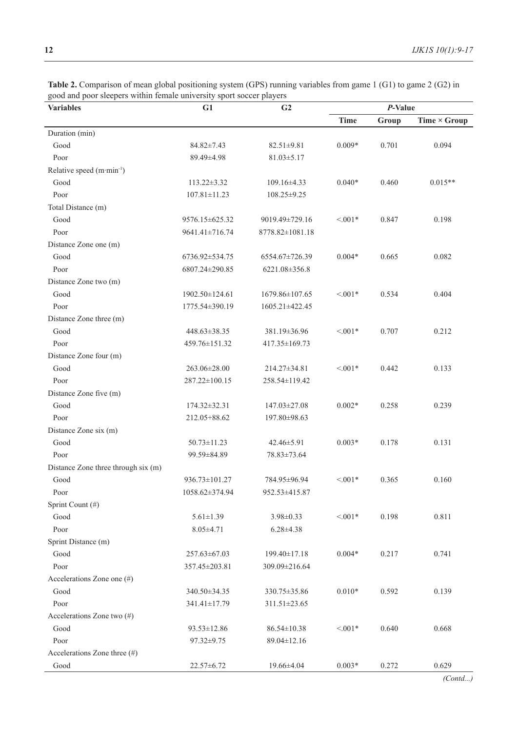| <b>Variables</b>                      | G1<br>G <sub>2</sub> |                    | P-Value     |       |                     |
|---------------------------------------|----------------------|--------------------|-------------|-------|---------------------|
|                                       |                      |                    | <b>Time</b> | Group | Time $\times$ Group |
| Duration (min)                        |                      |                    |             |       |                     |
| Good                                  | 84.82±7.43           | $82.51 \pm 9.81$   | $0.009*$    | 0.701 | 0.094               |
| Poor                                  | 89.49±4.98           | $81.03 \pm 5.17$   |             |       |                     |
| Relative speed (m·min <sup>-1</sup> ) |                      |                    |             |       |                     |
| Good                                  | 113.22±3.32          | 109.16±4.33        | $0.040*$    | 0.460 | $0.015**$           |
| Poor                                  | $107.81 \pm 11.23$   | $108.25 \pm 9.25$  |             |       |                     |
| Total Distance (m)                    |                      |                    |             |       |                     |
| Good                                  | 9576.15±625.32       | 9019.49±729.16     | $< 0.01*$   | 0.847 | 0.198               |
| Poor                                  | 9641.41±716.74       | 8778.82±1081.18    |             |       |                     |
| Distance Zone one (m)                 |                      |                    |             |       |                     |
| Good                                  | 6736.92±534.75       | 6554.67±726.39     | $0.004*$    | 0.665 | 0.082               |
| Poor                                  | 6807.24±290.85       | 6221.08±356.8      |             |       |                     |
| Distance Zone two (m)                 |                      |                    |             |       |                     |
| Good                                  | 1902.50±124.61       | 1679.86±107.65     | $< 0.01*$   | 0.534 | 0.404               |
| Poor                                  | 1775.54±390.19       | 1605.21±422.45     |             |       |                     |
| Distance Zone three (m)               |                      |                    |             |       |                     |
| Good                                  | 448.63±38.35         | 381.19±36.96       | $< 0.01*$   | 0.707 | 0.212               |
| Poor                                  | 459.76±151.32        | 417.35±169.73      |             |       |                     |
| Distance Zone four (m)                |                      |                    |             |       |                     |
| Good                                  | 263.06±28.00         | 214.27±34.81       | $< 0.01*$   | 0.442 | 0.133               |
| Poor                                  | 287.22±100.15        | 258.54±119.42      |             |       |                     |
| Distance Zone five (m)                |                      |                    |             |       |                     |
| Good                                  | $174.32 \pm 32.31$   | 147.03±27.08       | $0.002*$    | 0.258 | 0.239               |
| Poor                                  | 212.05+88.62         | 197.80±98.63       |             |       |                     |
| Distance Zone six (m)                 |                      |                    |             |       |                     |
| Good                                  | $50.73 \pm 11.23$    | 42.46±5.91         | $0.003*$    | 0.178 | 0.131               |
| Poor                                  | 99.59±84.89          | 78.83±73.64        |             |       |                     |
| Distance Zone three through six (m)   |                      |                    |             |       |                     |
| Good                                  | 936.73±101.27        | 784.95±96.94       | $< 0.01*$   | 0.365 | 0.160               |
| Poor                                  | 1058.62±374.94       | 952.53±415.87      |             |       |                     |
| Sprint Count (#)                      |                      |                    |             |       |                     |
| Good                                  | $5.61 \pm 1.39$      | $3.98 \pm 0.33$    | $< 0.01*$   | 0.198 | 0.811               |
| Poor                                  | $8.05 \pm 4.71$      | $6.28 + 4.38$      |             |       |                     |
| Sprint Distance (m)                   |                      |                    |             |       |                     |
| Good                                  | 257.63±67.03         | 199.40±17.18       | $0.004*$    | 0.217 | 0.741               |
| Poor                                  | 357.45±203.81        | 309.09±216.64      |             |       |                     |
| Accelerations Zone one (#)            |                      |                    |             |       |                     |
| Good                                  | 340.50±34.35         | 330.75±35.86       | $0.010*$    | 0.592 | 0.139               |
| Poor                                  | 341.41±17.79         | $311.51 \pm 23.65$ |             |       |                     |
| Accelerations Zone two (#)            |                      |                    |             |       |                     |
| Good                                  | 93.53±12.86          | $86.54 \pm 10.38$  | $< 0.01*$   | 0.640 | 0.668               |
| Poor                                  | 97.32±9.75           | 89.04±12.16        |             |       |                     |
| Accelerations Zone three (#)          |                      |                    |             |       |                     |
| Good                                  | 22.57±6.72           | 19.66±4.04         | $0.003*$    | 0.272 | 0.629               |

**Table 2.** Comparison of mean global positioning system (GPS) running variables from game 1 (G1) to game 2 (G2) in good and poor sleepers within female university sport soccer players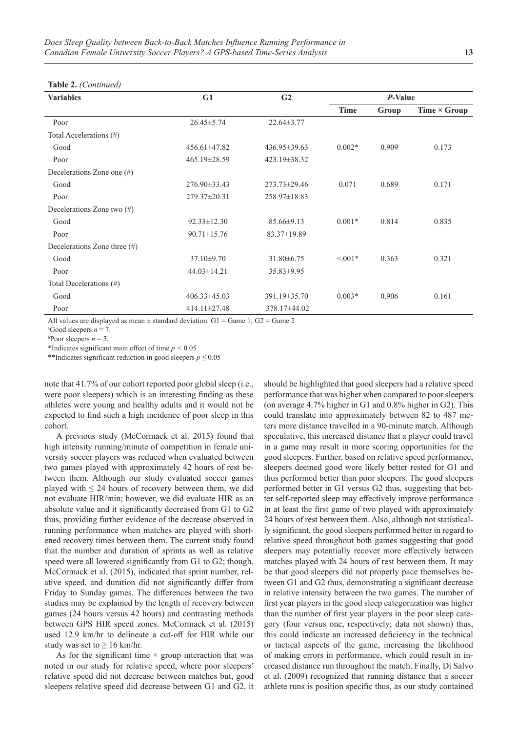### **Table 2.** *(Continued)*

| <b>Variables</b>                | G1                 | G <sub>2</sub>     | P-Value     |       |                     |
|---------------------------------|--------------------|--------------------|-------------|-------|---------------------|
|                                 |                    |                    | <b>Time</b> | Group | Time $\times$ Group |
| Poor                            | $26.45 \pm 5.74$   | $22.64 \pm 3.77$   |             |       |                     |
| Total Accelerations (#)         |                    |                    |             |       |                     |
| Good                            | $456.61 \pm 47.82$ | $436.95 \pm 39.63$ | $0.002*$    | 0.909 | 0.173               |
| Poor                            | $465.19 \pm 28.59$ | 423.19±38.32       |             |       |                     |
| Decelerations Zone one (#)      |                    |                    |             |       |                     |
| Good                            | $276.90\pm33.43$   | $273.73 \pm 29.46$ | 0.071       | 0.689 | 0.171               |
| Poor                            | 279.37±20.31       | 258.97±18.83       |             |       |                     |
| Decelerations Zone two $(\#)$   |                    |                    |             |       |                     |
| Good                            | $92.33 \pm 12.30$  | $85.66 \pm 9.13$   | $0.001*$    | 0.814 | 0.835               |
| Poor                            | $90.71 \pm 15.76$  | 83.37±19.89        |             |       |                     |
| Decelerations Zone three $(\#)$ |                    |                    |             |       |                     |
| Good                            | $37.10 \pm 9.70$   | $31.80 \pm 6.75$   | $< 0.01*$   | 0.363 | 0.321               |
| Poor                            | $44.03 \pm 14.21$  | 35.83±9.95         |             |       |                     |
| Total Decelerations (#)         |                    |                    |             |       |                     |
| Good                            | $406.33 \pm 45.03$ | 391.19 ± 35.70     | $0.003*$    | 0.906 | 0.161               |
| Poor                            | $414.11 \pm 27.48$ | 378.17±44.02       |             |       |                     |

All values are displayed as mean  $\pm$  standard deviation. G1 = Game 1; G2 = Game 2

 $^{a}$ Good sleepers  $n = 7$ .

 $b$ Poor sleepers  $n = 5$ .

\*Indicates significant main effect of time *p <* 0.05

\*\*Indicates significant reduction in good sleepers *p ≤* 0.05

note that 41.7% of our cohort reported poor global sleep (i.e., were poor sleepers) which is an interesting finding as these athletes were young and healthy adults and it would not be expected to find such a high incidence of poor sleep in this cohort.

A previous study (McCormack et al. 2015) found that high intensity running/minute of competition in female university soccer players was reduced when evaluated between two games played with approximately 42 hours of rest between them. Although our study evaluated soccer games played with  $\leq 24$  hours of recovery between them, we did not evaluate HIR/min; however, we did evaluate HIR as an absolute value and it significantly decreased from G1 to G2 thus, providing further evidence of the decrease observed in running performance when matches are played with shortened recovery times between them. The current study found that the number and duration of sprints as well as relative speed were all lowered significantly from G1 to G2; though, McCormack et al. (2015), indicated that sprint number, relative speed, and duration did not significantly differ from Friday to Sunday games. The differences between the two studies may be explained by the length of recovery between games (24 hours versus 42 hours) and contrasting methods between GPS HIR speed zones. McCormack et al. (2015) used 12.9 km/hr to delineate a cut-off for HIR while our study was set to  $\geq 16$  km/hr.

As for the significant time  $\times$  group interaction that was noted in our study for relative speed, where poor sleepers' relative speed did not decrease between matches but, good sleepers relative speed did decrease between G1 and G2, it should be highlighted that good sleepers had a relative speed performance that was higher when compared to poor sleepers (on average 4.7% higher in G1 and 0.8% higher in G2). This could translate into approximately between 82 to 487 meters more distance travelled in a 90-minute match. Although speculative, this increased distance that a player could travel in a game may result in more scoring opportunities for the good sleepers. Further, based on relative speed performance, sleepers deemed good were likely better rested for G1 and thus performed better than poor sleepers. The good sleepers performed better in G1 versus G2 thus, suggesting that better self-reported sleep may effectively improve performance in at least the first game of two played with approximately 24 hours of rest between them. Also, although not statistically significant, the good sleepers performed better in regard to relative speed throughout both games suggesting that good sleepers may potentially recover more effectively between matches played with 24 hours of rest between them. It may be that good sleepers did not properly pace themselves between G1 and G2 thus, demonstrating a significant decrease in relative intensity between the two games. The number of first year players in the good sleep categorization was higher than the number of first year players in the poor sleep category (four versus one, respectively; data not shown) thus, this could indicate an increased deficiency in the technical or tactical aspects of the game, increasing the likelihood of making errors in performance, which could result in increased distance run throughout the match. Finally, Di Salvo et al. (2009) recognized that running distance that a soccer athlete runs is position specific thus, as our study contained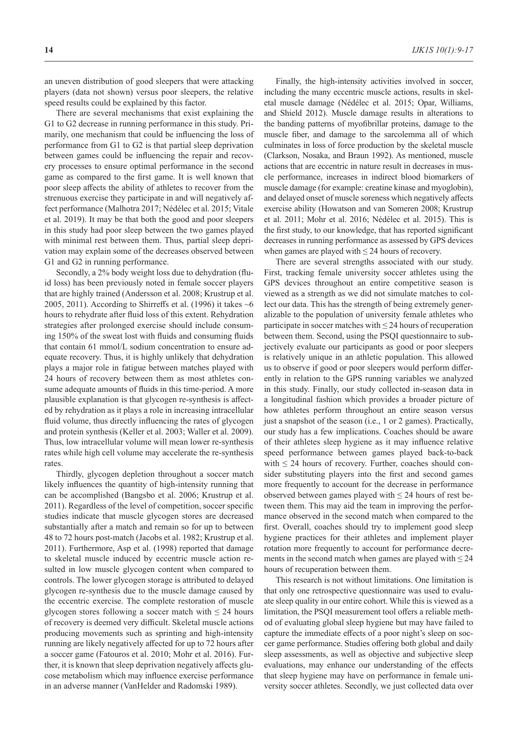an uneven distribution of good sleepers that were attacking players (data not shown) versus poor sleepers, the relative speed results could be explained by this factor.

There are several mechanisms that exist explaining the G1 to G2 decrease in running performance in this study. Primarily, one mechanism that could be influencing the loss of performance from G1 to G2 is that partial sleep deprivation between games could be influencing the repair and recovery processes to ensure optimal performance in the second game as compared to the first game. It is well known that poor sleep affects the ability of athletes to recover from the strenuous exercise they participate in and will negatively affect performance (Malhotra 2017; Nédélec et al. 2015; Vitale et al. 2019). It may be that both the good and poor sleepers in this study had poor sleep between the two games played with minimal rest between them. Thus, partial sleep deprivation may explain some of the decreases observed between G1 and G2 in running performance.

Secondly, a 2% body weight loss due to dehydration (fluid loss) has been previously noted in female soccer players that are highly trained (Andersson et al. 2008; Krustrup et al. 2005, 2011). According to Shirreffs et al. (1996) it takes  $~6$ hours to rehydrate after fluid loss of this extent. Rehydration strategies after prolonged exercise should include consuming 150% of the sweat lost with fluids and consuming fluids that contain 61 mmol/L sodium concentration to ensure adequate recovery. Thus, it is highly unlikely that dehydration plays a major role in fatigue between matches played with 24 hours of recovery between them as most athletes consume adequate amounts of fluids in this time-period. A more plausible explanation is that glycogen re-synthesis is affected by rehydration as it plays a role in increasing intracellular fluid volume, thus directly influencing the rates of glycogen and protein synthesis (Keller et al. 2003; Waller et al. 2009). Thus, low intracellular volume will mean lower re-synthesis rates while high cell volume may accelerate the re-synthesis rates.

Thirdly, glycogen depletion throughout a soccer match likely influences the quantity of high-intensity running that can be accomplished (Bangsbo et al. 2006; Krustrup et al. 2011). Regardless of the level of competition, soccer specific studies indicate that muscle glycogen stores are decreased substantially after a match and remain so for up to between 48 to 72 hours post-match (Jacobs et al. 1982; Krustrup et al. 2011). Furthermore, Asp et al. (1998) reported that damage to skeletal muscle induced by eccentric muscle action resulted in low muscle glycogen content when compared to controls. The lower glycogen storage is attributed to delayed glycogen re-synthesis due to the muscle damage caused by the eccentric exercise. The complete restoration of muscle glycogen stores following a soccer match with  $\leq 24$  hours of recovery is deemed very difficult. Skeletal muscle actions producing movements such as sprinting and high-intensity running are likely negatively affected for up to 72 hours after a soccer game (Fatouros et al. 2010; Mohr et al. 2016). Further, it is known that sleep deprivation negatively affects glucose metabolism which may influence exercise performance in an adverse manner (VanHelder and Radomski 1989).

Finally, the high-intensity activities involved in soccer, including the many eccentric muscle actions, results in skeletal muscle damage (Nédélec et al. 2015; Opar, Williams, and Shield 2012). Muscle damage results in alterations to the banding patterns of myofibrillar proteins, damage to the muscle fiber, and damage to the sarcolemma all of which culminates in loss of force production by the skeletal muscle (Clarkson, Nosaka, and Braun 1992). As mentioned, muscle actions that are eccentric in nature result in decreases in muscle performance, increases in indirect blood biomarkers of muscle damage (for example: creatine kinase and myoglobin), and delayed onset of muscle soreness which negatively affects exercise ability (Howatson and van Someren 2008; Krustrup et al. 2011; Mohr et al. 2016; Nédélec et al. 2015). This is the first study, to our knowledge, that has reported significant decreases in running performance as assessed by GPS devices when games are played with  $\leq$  24 hours of recovery.

There are several strengths associated with our study. First, tracking female university soccer athletes using the GPS devices throughout an entire competitive season is viewed as a strength as we did not simulate matches to collect our data. This has the strength of being extremely generalizable to the population of university female athletes who participate in soccer matches with  $\leq$  24 hours of recuperation between them. Second, using the PSQI questionnaire to subjectively evaluate our participants as good or poor sleepers is relatively unique in an athletic population. This allowed us to observe if good or poor sleepers would perform differently in relation to the GPS running variables we analyzed in this study. Finally, our study collected in-season data in a longitudinal fashion which provides a broader picture of how athletes perform throughout an entire season versus just a snapshot of the season (i.e., 1 or 2 games). Practically, our study has a few implications. Coaches should be aware of their athletes sleep hygiene as it may influence relative speed performance between games played back-to-back with  $\leq 24$  hours of recovery. Further, coaches should consider substituting players into the first and second games more frequently to account for the decrease in performance observed between games played with  $\leq 24$  hours of rest between them. This may aid the team in improving the performance observed in the second match when compared to the first. Overall, coaches should try to implement good sleep hygiene practices for their athletes and implement player rotation more frequently to account for performance decrements in the second match when games are played with  $\leq 24$ hours of recuperation between them.

This research is not without limitations. One limitation is that only one retrospective questionnaire was used to evaluate sleep quality in our entire cohort. While this is viewed as a limitation, the PSQI measurement tool offers a reliable method of evaluating global sleep hygiene but may have failed to capture the immediate effects of a poor night's sleep on soccer game performance. Studies offering both global and daily sleep assessments, as well as objective and subjective sleep evaluations, may enhance our understanding of the effects that sleep hygiene may have on performance in female university soccer athletes. Secondly, we just collected data over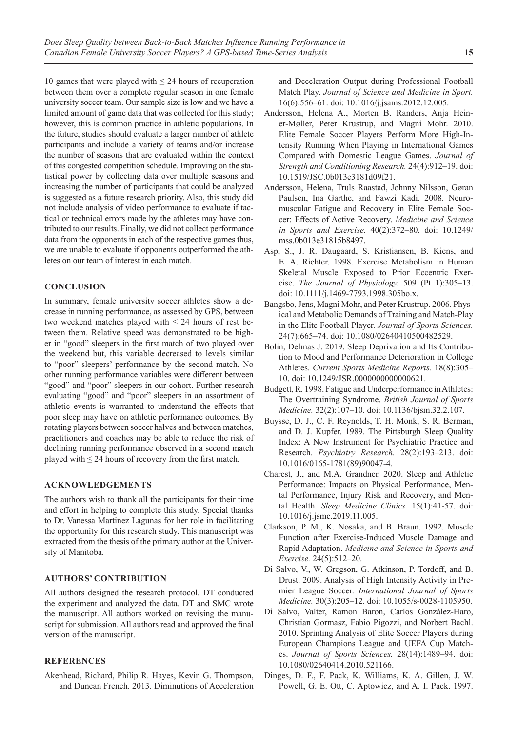10 games that were played with  $\leq$  24 hours of recuperation between them over a complete regular season in one female university soccer team. Our sample size is low and we have a limited amount of game data that was collected for this study; however, this is common practice in athletic populations. In the future, studies should evaluate a larger number of athlete participants and include a variety of teams and/or increase the number of seasons that are evaluated within the context of this congested competition schedule. Improving on the statistical power by collecting data over multiple seasons and increasing the number of participants that could be analyzed is suggested as a future research priority. Also, this study did not include analysis of video performance to evaluate if tactical or technical errors made by the athletes may have contributed to our results. Finally, we did not collect performance data from the opponents in each of the respective games thus, we are unable to evaluate if opponents outperformed the athletes on our team of interest in each match.

## **CONCLUSION**

In summary, female university soccer athletes show a decrease in running performance, as assessed by GPS, between two weekend matches played with  $\leq 24$  hours of rest between them. Relative speed was demonstrated to be higher in "good" sleepers in the first match of two played over the weekend but, this variable decreased to levels similar to "poor" sleepers' performance by the second match. No other running performance variables were different between "good" and "poor" sleepers in our cohort. Further research evaluating "good" and "poor" sleepers in an assortment of athletic events is warranted to understand the effects that poor sleep may have on athletic performance outcomes. By rotating players between soccer halves and between matches, practitioners and coaches may be able to reduce the risk of declining running performance observed in a second match played with  $\leq$  24 hours of recovery from the first match.

## **ACKNOWLEDGEMENTS**

The authors wish to thank all the participants for their time and effort in helping to complete this study. Special thanks to Dr. Vanessa Martinez Lagunas for her role in facilitating the opportunity for this research study. This manuscript was extracted from the thesis of the primary author at the University of Manitoba.

## **AUTHORS' CONTRIBUTION**

All authors designed the research protocol. DT conducted the experiment and analyzed the data. DT and SMC wrote the manuscript. All authors worked on revising the manuscript for submission. All authors read and approved the final version of the manuscript.

## **REFERENCES**

Akenhead, Richard, Philip R. Hayes, Kevin G. Thompson, and Duncan French. 2013. Diminutions of Acceleration and Deceleration Output during Professional Football Match Play. *Journal of Science and Medicine in Sport.* 16(6):556–61. doi: 10.1016/j.jsams.2012.12.005.

- Andersson, Helena A., Morten B. Randers, Anja Heiner-Møller, Peter Krustrup, and Magni Mohr. 2010. Elite Female Soccer Players Perform More High-Intensity Running When Playing in International Games Compared with Domestic League Games. *Journal of Strength and Conditioning Research.* 24(4):912–19. doi: 10.1519/JSC.0b013e3181d09f21.
- Andersson, Helena, Truls Raastad, Johnny Nilsson, Gøran Paulsen, Ina Garthe, and Fawzi Kadi. 2008. Neuromuscular Fatigue and Recovery in Elite Female Soccer: Effects of Active Recovery. *Medicine and Science in Sports and Exercise.* 40(2):372–80. doi: 10.1249/ mss.0b013e31815b8497.
- Asp, S., J. R. Daugaard, S. Kristiansen, B. Kiens, and E. A. Richter. 1998. Exercise Metabolism in Human Skeletal Muscle Exposed to Prior Eccentric Exercise. *The Journal of Physiology.* 509 (Pt 1):305–13. doi: 10.1111/j.1469-7793.1998.305bo.x.
- Bangsbo, Jens, Magni Mohr, and Peter Krustrup. 2006. Physical and Metabolic Demands of Training and Match-Play in the Elite Football Player. *Journal of Sports Sciences.* 24(7):665–74. doi: 10.1080/02640410500482529.
- Bolin, Delmas J. 2019. Sleep Deprivation and Its Contribution to Mood and Performance Deterioration in College Athletes. *Current Sports Medicine Reports.* 18(8):305– 10. doi: 10.1249/JSR.0000000000000621.
- Budgett, R. 1998. Fatigue and Underperformance in Athletes: The Overtraining Syndrome. *British Journal of Sports Medicine.* 32(2):107–10. doi: 10.1136/bjsm.32.2.107.
- Buysse, D. J., C. F. Reynolds, T. H. Monk, S. R. Berman, and D. J. Kupfer. 1989. The Pittsburgh Sleep Quality Index: A New Instrument for Psychiatric Practice and Research. *Psychiatry Research.* 28(2):193–213. doi: 10.1016/0165-1781(89)90047-4.
- Charest, J., and M.A. Grandner. 2020. Sleep and Athletic Performance: Impacts on Physical Performance, Mental Performance, Injury Risk and Recovery, and Mental Health. *Sleep Medicine Clinics.* 15(1):41-57. doi: 10.1016/j.jsmc.2019.11.005.
- Clarkson, P. M., K. Nosaka, and B. Braun. 1992. Muscle Function after Exercise-Induced Muscle Damage and Rapid Adaptation. *Medicine and Science in Sports and Exercise.* 24(5):512–20.
- Di Salvo, V., W. Gregson, G. Atkinson, P. Tordoff, and B. Drust. 2009. Analysis of High Intensity Activity in Premier League Soccer. *International Journal of Sports Medicine.* 30(3):205–12. doi: 10.1055/s-0028-1105950.
- Di Salvo, Valter, Ramon Baron, Carlos González-Haro, Christian Gormasz, Fabio Pigozzi, and Norbert Bachl. 2010. Sprinting Analysis of Elite Soccer Players during European Champions League and UEFA Cup Matches. *Journal of Sports Sciences.* 28(14):1489–94. doi: 10.1080/02640414.2010.521166.
- Dinges, D. F., F. Pack, K. Williams, K. A. Gillen, J. W. Powell, G. E. Ott, C. Aptowicz, and A. I. Pack. 1997.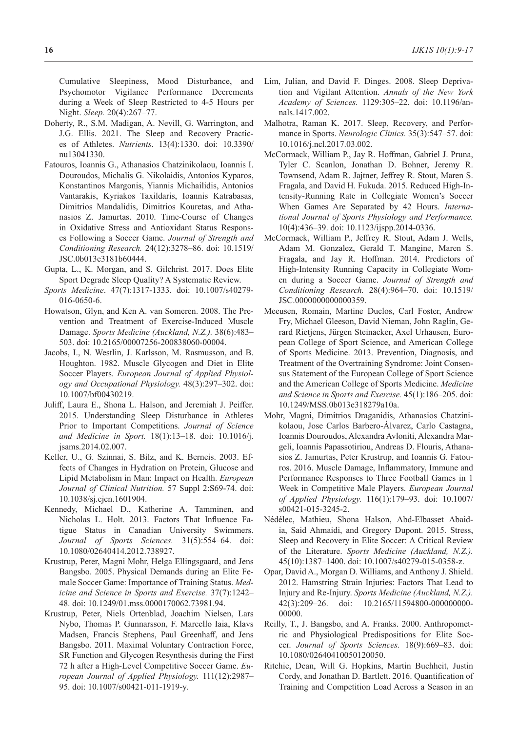Cumulative Sleepiness, Mood Disturbance, and Psychomotor Vigilance Performance Decrements during a Week of Sleep Restricted to 4-5 Hours per Night. *Sleep.* 20(4):267–77.

- Doherty, R., S.M. Madigan, A. Nevill, G. Warrington, and J.G. Ellis. 2021. The Sleep and Recovery Practices of Athletes. *Nutrients*. 13(4):1330. doi: 10.3390/ nu13041330.
- Fatouros, Ioannis G., Athanasios Chatzinikolaou, Ioannis I. Douroudos, Michalis G. Nikolaidis, Antonios Kyparos, Konstantinos Margonis, Yiannis Michailidis, Antonios Vantarakis, Kyriakos Taxildaris, Ioannis Katrabasas, Dimitrios Mandalidis, Dimitrios Kouretas, and Athanasios Z. Jamurtas. 2010. Time-Course of Changes in Oxidative Stress and Antioxidant Status Responses Following a Soccer Game. *Journal of Strength and Conditioning Research.* 24(12):3278–86. doi: 10.1519/ JSC.0b013e3181b60444.
- Gupta, L., K. Morgan, and S. Gilchrist. 2017. Does Elite Sport Degrade Sleep Quality? A Systematic Review.
- *Sports Medicine*. 47(7):1317-1333. doi: 10.1007/s40279- 016-0650-6.
- Howatson, Glyn, and Ken A. van Someren. 2008. The Prevention and Treatment of Exercise-Induced Muscle Damage. *Sports Medicine (Auckland, N.Z.).* 38(6):483– 503. doi: 10.2165/00007256-200838060-00004.
- Jacobs, I., N. Westlin, J. Karlsson, M. Rasmusson, and B. Houghton. 1982. Muscle Glycogen and Diet in Elite Soccer Players. *European Journal of Applied Physiology and Occupational Physiology.* 48(3):297–302. doi: 10.1007/bf00430219.
- Juliff, Laura E., Shona L. Halson, and Jeremiah J. Peiffer. 2015. Understanding Sleep Disturbance in Athletes Prior to Important Competitions. *Journal of Science and Medicine in Sport.* 18(1):13–18. doi: 10.1016/j. jsams.2014.02.007.
- Keller, U., G. Szinnai, S. Bilz, and K. Berneis. 2003. Effects of Changes in Hydration on Protein, Glucose and Lipid Metabolism in Man: Impact on Health. *European Journal of Clinical Nutrition.* 57 Suppl 2:S69-74. doi: 10.1038/sj.ejcn.1601904.
- Kennedy, Michael D., Katherine A. Tamminen, and Nicholas L. Holt. 2013. Factors That Influence Fatigue Status in Canadian University Swimmers. *Journal of Sports Sciences.* 31(5):554–64. doi: 10.1080/02640414.2012.738927.
- Krustrup, Peter, Magni Mohr, Helga Ellingsgaard, and Jens Bangsbo. 2005. Physical Demands during an Elite Female Soccer Game: Importance of Training Status. *Medicine and Science in Sports and Exercise.* 37(7):1242– 48. doi: 10.1249/01.mss.0000170062.73981.94.
- Krustrup, Peter, Niels Ortenblad, Joachim Nielsen, Lars Nybo, Thomas P. Gunnarsson, F. Marcello Iaia, Klavs Madsen, Francis Stephens, Paul Greenhaff, and Jens Bangsbo. 2011. Maximal Voluntary Contraction Force, SR Function and Glycogen Resynthesis during the First 72 h after a High-Level Competitive Soccer Game. *European Journal of Applied Physiology.* 111(12):2987– 95. doi: 10.1007/s00421-011-1919-y.
- Lim, Julian, and David F. Dinges. 2008. Sleep Deprivation and Vigilant Attention. *Annals of the New York Academy of Sciences.* 1129:305–22. doi: 10.1196/annals.1417.002.
- Malhotra, Raman K. 2017. Sleep, Recovery, and Performance in Sports. *Neurologic Clinics.* 35(3):547–57. doi: 10.1016/j.ncl.2017.03.002.
- McCormack, William P., Jay R. Hoffman, Gabriel J. Pruna, Tyler C. Scanlon, Jonathan D. Bohner, Jeremy R. Townsend, Adam R. Jajtner, Jeffrey R. Stout, Maren S. Fragala, and David H. Fukuda. 2015. Reduced High-Intensity-Running Rate in Collegiate Women's Soccer When Games Are Separated by 42 Hours. *International Journal of Sports Physiology and Performance.* 10(4):436–39. doi: 10.1123/ijspp.2014-0336.
- McCormack, William P., Jeffrey R. Stout, Adam J. Wells, Adam M. Gonzalez, Gerald T. Mangine, Maren S. Fragala, and Jay R. Hoffman. 2014. Predictors of High-Intensity Running Capacity in Collegiate Women during a Soccer Game. *Journal of Strength and Conditioning Research.* 28(4):964–70. doi: 10.1519/ JSC.0000000000000359.
- Meeusen, Romain, Martine Duclos, Carl Foster, Andrew Fry, Michael Gleeson, David Nieman, John Raglin, Gerard Rietjens, Jürgen Steinacker, Axel Urhausen, European College of Sport Science, and American College of Sports Medicine. 2013. Prevention, Diagnosis, and Treatment of the Overtraining Syndrome: Joint Consensus Statement of the European College of Sport Science and the American College of Sports Medicine. *Medicine and Science in Sports and Exercise.* 45(1):186–205. doi: 10.1249/MSS.0b013e318279a10a.
- Mohr, Magni, Dimitrios Draganidis, Athanasios Chatzinikolaou, Jose Carlos Barbero-Álvarez, Carlo Castagna, Ioannis Douroudos, Alexandra Avloniti, Alexandra Margeli, Ioannis Papassotiriou, Andreas D. Flouris, Athanasios Z. Jamurtas, Peter Krustrup, and Ioannis G. Fatouros. 2016. Muscle Damage, Inflammatory, Immune and Performance Responses to Three Football Games in 1 Week in Competitive Male Players. *European Journal of Applied Physiology.* 116(1):179–93. doi: 10.1007/ s00421-015-3245-2.
- Nédélec, Mathieu, Shona Halson, Abd-Elbasset Abaidia, Said Ahmaidi, and Gregory Dupont. 2015. Stress, Sleep and Recovery in Elite Soccer: A Critical Review of the Literature. *Sports Medicine (Auckland, N.Z.).* 45(10):1387–1400. doi: 10.1007/s40279-015-0358-z.
- Opar, David A., Morgan D. Williams, and Anthony J. Shield. 2012. Hamstring Strain Injuries: Factors That Lead to Injury and Re-Injury. *Sports Medicine (Auckland, N.Z.).* 42(3):209–26. doi: 10.2165/11594800-000000000- 00000.
- Reilly, T., J. Bangsbo, and A. Franks. 2000. Anthropometric and Physiological Predispositions for Elite Soccer. *Journal of Sports Sciences.* 18(9):669–83. doi: 10.1080/02640410050120050.
- Ritchie, Dean, Will G. Hopkins, Martin Buchheit, Justin Cordy, and Jonathan D. Bartlett. 2016. Quantification of Training and Competition Load Across a Season in an